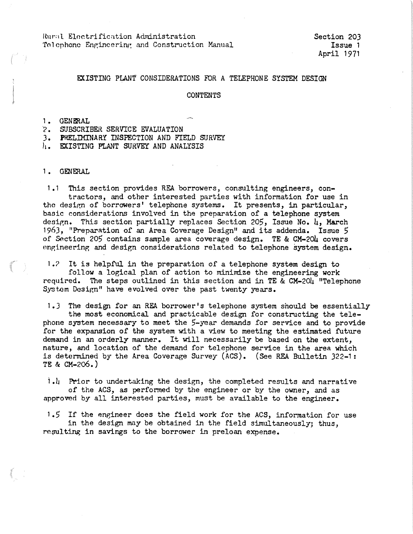Rural Electrification Administration Telephone Engineering and Construction Manual

## EXISTING PLANT CONSIDERATIONS FOR A TELEPHONE SYSTEM DESIGN

### CONTENTS

1. GENFRAL

? • SUBSCRIBER SERVICE EVALUATION

J. PRELIMINARY INSPECTION AND FIELD SURVEY

h. EXISTING PLANT SURVEY AND ANALYSIS

1. GENERAL

1.1 This section provides REA borrowers, consulting engineers, contractors, and other interested parties with information for use in the design of borrowers' telephone systems. It presents, in particular, basic considerations involved in the preparation of a telephone system design. This section partially replaces Section 205, Issue No. 4, March 1963, "Preparation of *an* Area Coverage Design" and its addenda. Issue 5 of Section 205 contains sample area coverage design. TE & CM-204 covers engineering and design considerations related to telephone system design.

1.? It is helpful in the preparation of a telephone system design to follow a logical plan of action to minimize the engineering work required. The steps outlined in this section and in TE & CM-204 "Telephone System Design" have evolved over the past twenty years.

1.J The design for an REA borrower's telephone system should be essentially the most economical and practicable design for constructing the telephone system necessary to meet the 5-year demands for service and to provide for the expansion of the system with a view to meeting the estimated future demand in an orderly manner. It will necessarily be based on the extent, nature, and location of the demand for telephone service in the area which is determined by the Area Coverage Survey (ACS). (See REA Bulletin 322-1: **TE** & CM-2o6. )

i.L Prior to undertaking the design, the completed results and narrative of the ACS, as performed by the engineer or by the owner, and as approved by all interested parties, must be available to the engineer.

1.5 If the engineer does the field work for the ACS, information for use in the design may be obtained in the field simultaneously; thus, resulting in savings to the borrower in preloan expense.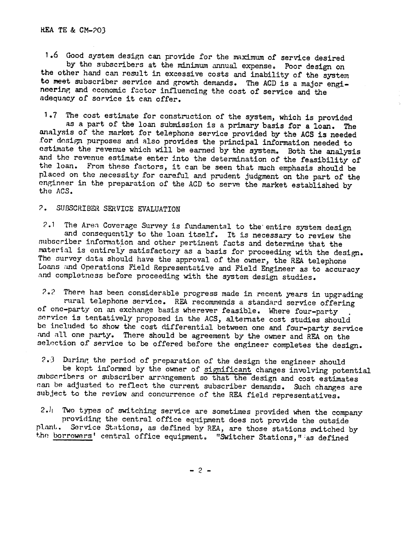1.6 Good system design can provide for the maximum of service desired<br>by the subscribers at the minimum annual expense. Poor design on the other hand can result in excessive costs and inability of the system to meet subscriber service and growth demands. The ACD is a major engineering and economic factor influencing the cost of service and the adequacy of service it can offer.

<sup>1</sup>.7 The cost estimate for construction of the system, which is provided as a part of the loan submission is a primary basis for a loan. The<br>analysis of the market for telephone service provided by the ACS is needed<br>for design purposes and also provides the principal information needed to<br>estim the loan. From these factors, it can be seen that much emphasis should be placed on the necessity for careful and prudent judgment on the part of the engineer in the preparation of the ACD to serve the market established by the ACS.

# ? • SUBSCRIBER SERVICE EVALUATION

2.1 The Area Coverage Survey is fundamental to the entire system design<br>and consequently to the loan itself. It is necessary to review the<br>subscriber information and other pertinent facts and determine that the<br>material is

?.? There has been considerable progress made in recent years in upgrading rural telephone service. REA recommends a standard service offering of one-party on an exchange basis wherever feasible. Where four-party<br>service is tentatively proposed in the ACS, alternate cost studies should<br>be included to show the cost differential between one and four-party service<br>a selection of service to be offered before the engineer completes the design.

2.3 During the period of preparation of the design the engineer should<br>be kept informed by the owner of significant changes involving potential<br>subscribers or subscriber arrangement so that the design and cost estimates<br>c

2. $l_1$  Two types of switching service are sometimes provided when the company providing the central office equipment does not provide the outside plant. Service Stations, as defined by REA, are those stations switched by the borrowers' central office equipment. "Switcher Stations, " as defined

- 2 -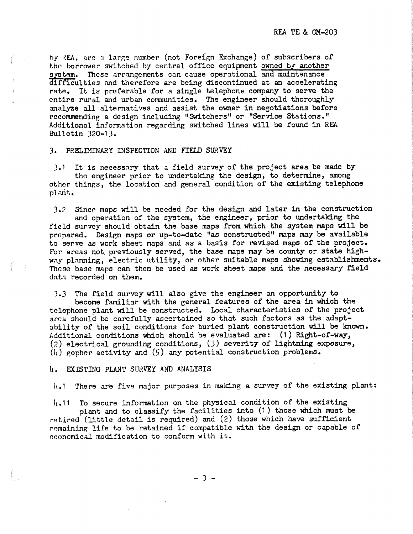hy REA, are *u* large number (not Foreign Exchange) of subscribers of the borrower switched by central office equipment owned by another system. These arrangements can cause operational and maintenance difficulties and therefore are being discontinued at an accelerating rate. It is preferable for a single telephone company to serve the entire rural and urban communities. The engineer should thoroughly analyze all alternatives and assist the owner in negotiations before recommending a design including "Switchers" or "Service Stations." Additional information regarding switched lines will be found in REA Bulletin 320-13.

### 3. PRELIMINARY INSPECTION AND FIELD SURVEY

*3.* 1 It is necessary that a field survey of the project area be made by tho engineer prior to undertaking the design, to determine, among other things, the location and general condition of the existing telephone pl.wit.

J.? Sincn maps will be needed for the design and later in the construction and operation of the system, the engineer, prior to undertaking the field survey should obtain the base maps from which the system maps will be prepared. Design maps or up-to-date "as constructed" maps may be available to serve as work sheet maps and as *a* basis for revised maps of the project. For areas not. previously served, the base maps may be county or state highway planning, electric utility, or other suitable maps showing establishments. These base maps can then be used as work sheet maps and the necessary field dntn recorded on them.

1.3 The field survey will also give the engineer an opportunity to become familiar with the general features of the area in **which** the telephone plant will be constructed. Local characteristics of the project area should be carefully ascertained so that such factors as the adaptability of the soil conditions for buried plant construction will be known. Additional conditions which should be evaluated are: (1) Right-of-way, (?.) electrical grounding conditions, (3) severity of lightning exposure,  $(l_1)$  gopher activity and  $(5)$  any potential construction problems.

### h. EXISTING PLANT SURVEY AND ANALYSIS

 $l_{i}.$ 1 There are five major purposes in making a survey of the existing plant:

 $l_{1.}$ 11 To secure information on the physical condition of the existing

<sup>p</sup>lant and to classify the facilities into (1) those which must be retired (little detail is required) and (2) those which have sufficient remaining life to be retained if compatible with the design or capable of economical modification to conform with it.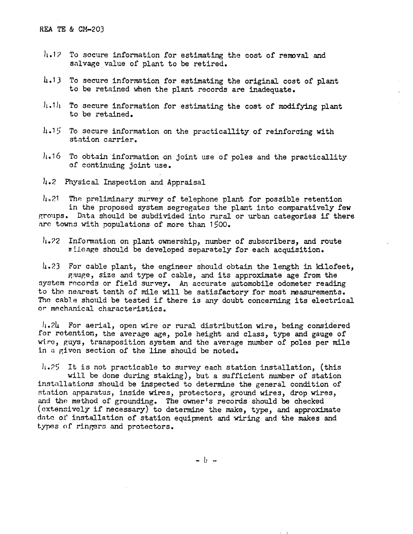- $h$ . 12 To secure information for estimating the cost of removal and salvage value of plant to be retired.
- 4.lJ To secure information for estimating the original cost of plant to be retained when the plant records are inadequate.
- $|i.1|$ . To secure information for estimating the cost of modifying plant to be retained.
- $h.15$  To secure information on the practicallity of reinforcing with station carrier.
- h.16 To obtain information on joint use of poles and the practicallity of continuing joint use.
- 4.2 Physical Inspection and Appraisal

 $\mu$ .21 The preliminary survey of telephone plant for possible retention in the proposed system segregates the plant into comparatively few groups. Data should be subdivided into rural or urban categories if there are towns with populations of more than 1500.

 $h_{\bullet}$  22 Information on plant ownership, number of subscribers, and route  $n$  ileage should be developed separately for each acquisition.

 $\mu$ .23 For cable plant, the engineer should obtain the length in kilofeet, gauge, size and type of cable, and its approximate age from the system records or field survey. An accurate automobile odometer reading to tho nenrest tenth of mile will be satisfactory for most measurements. Tho cable should be tested if there is any doubt concerning its electrical or mechanical characteristics.

 $l_1$ .24 For aerial, open wire or rural distribution wire, being considered for retention, the average age, pole height and class, type and gauge of wi.ro, guys, transposition system and the average number of poles per mile in a given section of the line should be noted.

 $11.25$  It is not practicable to survey each station installation, (this will be done during staking), but a sufficient number of station installations should be inspected to determine the general condition of station apparatus, inside wires, protectors, ground wires, drop wires, and the method of grounding. The owner's records should be checked (extensively if necessary) to determine the make, type, and approximate dntc of installation of station equipment and wiring and the makes and types of ringers and protectors.

 $- b -$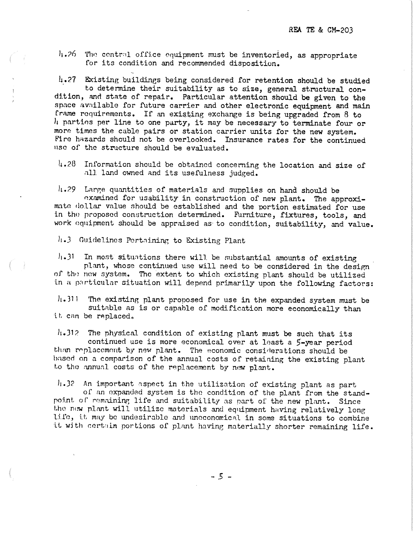$h.26$  The central office equipment must be inventoried, as appropriate for its condition and recommended disposition.

*h.27* Existing buildings being considered for retention should be studied to determine their suitability as to size, general structural con-<br>dition, and state of repair. Particular attention should be given to the space available for future carrier and other electronic equipment and main frame requirements. If an existing exchange is being upgraded from  $8$  to  $l_i$  parties per line to one party, it may be necessary to terminate four or more times the cable pairs or station carrier units for the new system. Fire hazards should not be overlooked. Insurance rates for the continued nsc of the structure should be evaluated.

 $\frac{1}{4}$ .28 Information should be obtained concerning the location and size of .1. land owned and its usefulness judged.

*li.*29 Large quantities of materials and supplies on hand should be<br>examined for usability in construction of new plant. The approximate dollar value should be established and the portion estimated for use in the proposed construction determined. Furniture, fixtures, tools, and work equipment should be appraised as to condition, suitability, and value.

/1 .J Guidelines Pcrt.1ining to Existing Plant

 $l_1$ .Jl In most situations there will be substantial amounts of existing plant, whose continued use will need to be considered in the design of the new system. The extent to which existing plant should be utilized in a particular situation will depend primarily upon the following factors:

 $l_{1.}$  311 'The existing plant proposed for use in the expanded system must be suitable as is or capable of modification more economically than it can be replaced,

 $h.$  J1? The physical condition of existing plant must be such that its continued use is more economical over at least a 5-year period than replacement by new plant. The economic considerations should be based on a comparison of the annual costs of retaining the existing plant to the annual costs of the replacement by new plant.

 $l_1$ .32 An important aspect in the utilization of existing plant as part of an expanded system is the condition of the plant from the standpoint of remaining life and suitability as part of the new plant. Since the new plant will utilize materials and equipment having relatively long<br>li.le, it may be undesirable and uncconomical in some situations to combine it with certain portions of plant having materially shorter remaining life.

- 5 -